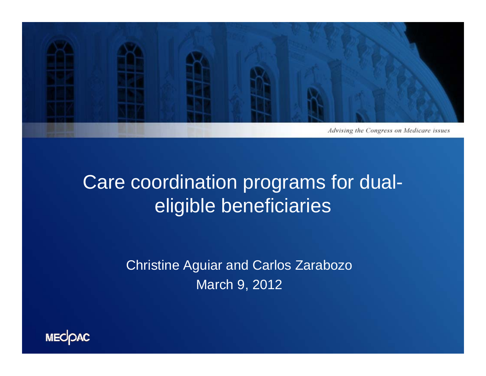

#### Care coordination programs for dualeligible beneficiaries

Christine Aguiar and Carlos Zarabozo March 9, 2012

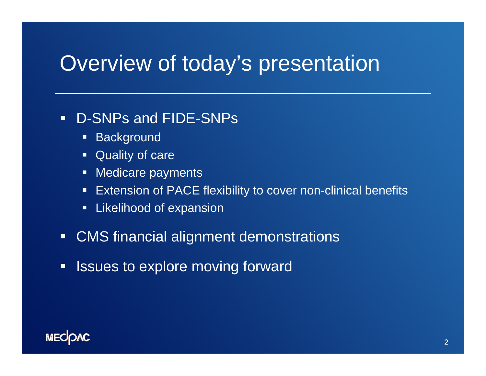#### Overview of today's presentation

#### $\blacksquare$ D-SNPs and FIDE-SNPs

- **Background**
- **Quality of care**
- Medicare payments
- **Extension of PACE flexibility to cover non-clinical benefits**
- **E** Likelihood of expansion
- CMS financial alignment demonstrations
- $\Box$ Issues to explore moving forward

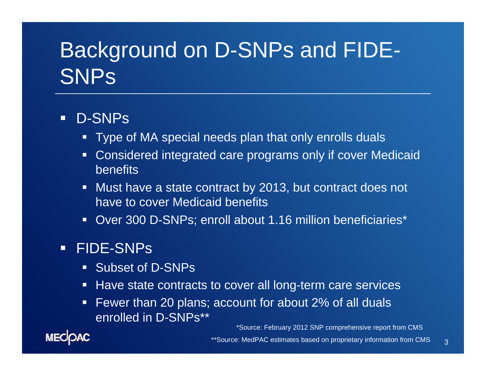## Background on D-SNPs and FIDE-**SNPs**

#### $\Box$ D-SNPs

- Type of MA special needs plan that only enrolls duals
- Considered integrated care programs only if cover Medicaid benefits
- Must have a state contract by 2013, but contract does not have to cover Medicaid benefits
- Over 300 D-SNPs; enroll about 1.16 million beneficiaries\*

#### FIDE-SNPs

- **Subset of D-SNPs**
- Have state contracts to cover all long-term care services
- Fewer than 20 plans; account for about 2% of all duals enrolled in D-SNPs\*\*

\*Source: February 2012 SNP comprehensive report from CMS

3

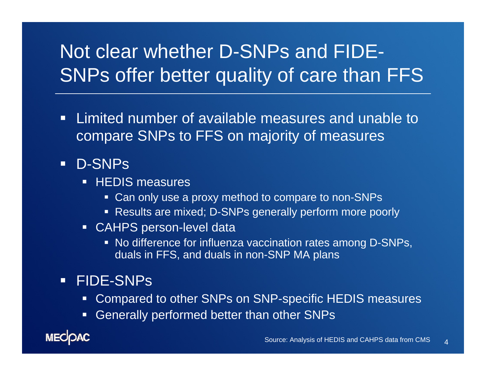#### Not clear whether D-SNPs and FIDE-SNPs offer better quality of care than FFS

 $\blacksquare$  Limited number of available measures and unable to compare SNPs to FFS on majority of measures

#### D-SNPs

- **HEDIS measures** 
	- Can only use a proxy method to compare to non-SNPs
	- Results are mixed; D-SNPs generally perform more poorly
- CAHPS person-level data
	- No difference for influenza vaccination rates among D-SNPs, duals in FFS, and duals in non-SNP MA plans

#### FIDE-SNPs

- Compared to other SNPs on SNP-specific HEDIS measures
- Generally performed better than other SNPs

**MECOAC**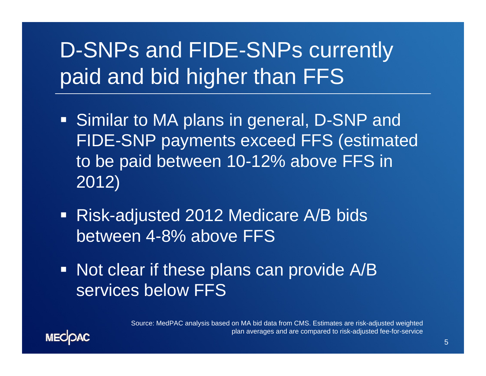# D-SNPs and FIDE-SNPs currently paid and bid higher than FFS

- Similar to MA plans in general, D-SNP and FIDE-SNP payments exceed FFS (estimated to be paid between 10-12% above FFS in 2012)
- Risk-adjusted 2012 Medicare A/B bids between 4-8% above FFS
- Not clear if these plans can provide A/B services below FFS

Source: MedPAC analysis based on MA bid data from CMS. Estimates are risk-adjusted weighted plan averages and are compared to risk-adjusted fee-for-service

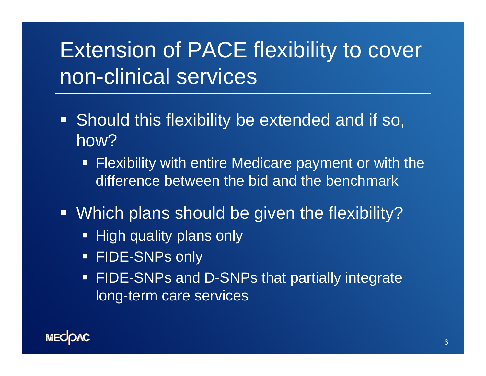## Extension of PACE flexibility to cover non-clinical services

- **Should this flexibility be extended and if so,** how?
	- **Flexibility with entire Medicare payment or with the** difference between the bid and the benchmark
- Which plans should be given the flexibility?
	- High quality plans only
	- FIDE-SNPs only
	- **FIDE-SNPs and D-SNPs that partially integrate** long-term care services

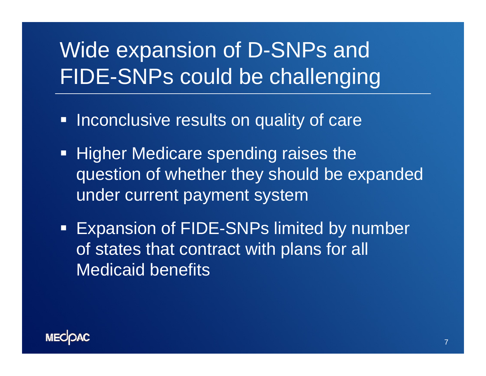# Wide expansion of D-SNPs and FIDE-SNPs could be challenging

- **Inconclusive results on quality of care**
- **Higher Medicare spending raises the** question of whether they should be expanded under current payment system
- **Expansion of FIDE-SNPs limited by number** of states that contract with plans for all Medicaid benefits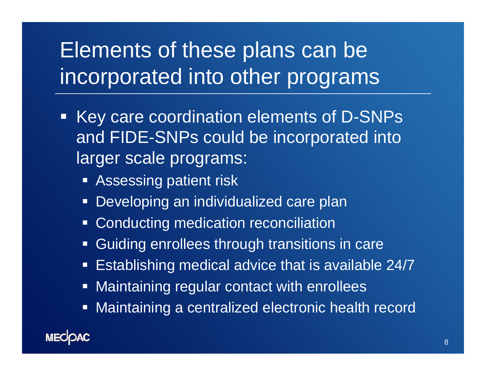## Elements of these plans can be incorporated into other programs

- Key care coordination elements of D-SNPs and FIDE-SNPs could be incorporated into larger scale programs:
	- **B** Assessing patient risk
	- $\blacksquare$ Developing an individualized care plan
	- **Conducting medication reconciliation**
	- $\blacksquare$ Guiding enrollees through transitions in care
	- $\blacksquare$ Establishing medical advice that is available 24/7
	- $\blacksquare$ Maintaining regular contact with enrollees
	- Maintaining a centralized electronic health record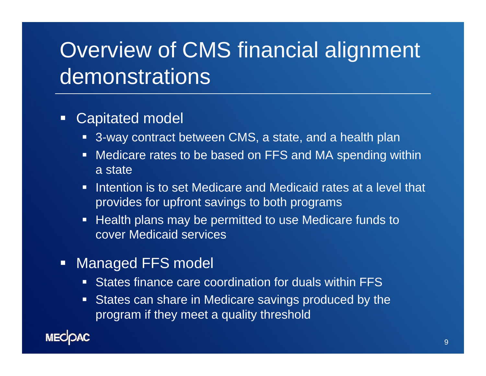## Overview of CMS financial alignment demonstrations

#### o Capitated model

- 3-way contract between CMS, a state, and a health plan
- Medicare rates to be based on FFS and MA spending within a state
- **Intention is to set Medicare and Medicaid rates at a level that** provides for upfront savings to both programs
- Health plans may be permitted to use Medicare funds to cover Medicaid services
- **Nanaged FFS model** 
	- States finance care coordination for duals within FFS
	- States can share in Medicare savings produced by the program if they meet a quality threshold

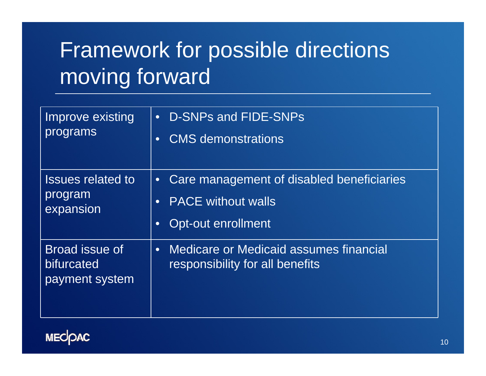# Framework for possible directions moving forward

| Improve existing<br>programs                     | <b>D-SNPs and FIDE-SNPs</b><br>$\bullet$<br><b>CMS</b> demonstrations<br>$\bullet$                                                  |
|--------------------------------------------------|-------------------------------------------------------------------------------------------------------------------------------------|
| <b>Issues related to</b><br>program<br>expansion | Care management of disabled beneficiaries<br>$\bullet$<br><b>PACE</b> without walls<br>$\bullet$<br>Opt-out enrollment<br>$\bullet$ |
| Broad issue of<br>bifurcated<br>payment system   | <b>Medicare or Medicaid assumes financial</b><br>$\bullet$<br>responsibility for all benefits                                       |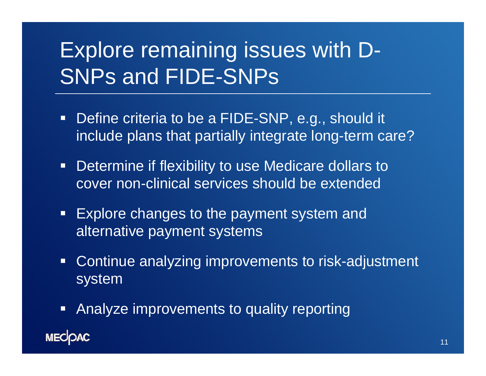# Explore remaining issues with D-SNPs and FIDE-SNPs

- **Define criteria to be a FIDE-SNP, e.g., should it** include plans that partially integrate long-term care?
- $\blacksquare$  Determine if flexibility to use Medicare dollars to cover non-clinical services should be extended
- **Explore changes to the payment system and** alternative payment systems
- **Continue analyzing improvements to risk-adjustment** system
- **Analyze improvements to quality reporting MECOAC**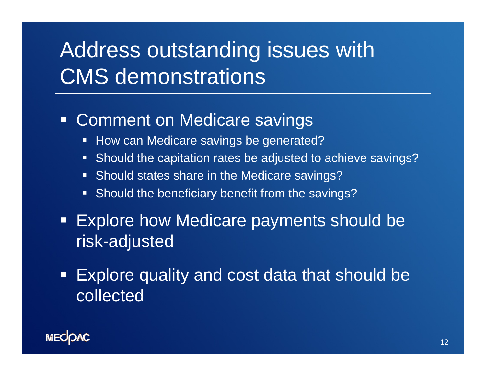## Address outstanding issues with CMS demonstrations

#### $\Box$ Comment on Medicare savings

- How can Medicare savings be generated?
- **Should the capitation rates be adjusted to achieve savings?**
- **Should states share in the Medicare savings?**
- **Should the beneficiary benefit from the savings?**
- Explore how Medicare payments should be risk-adjusted
- $\Box$  Explore quality and cost data that should be collected

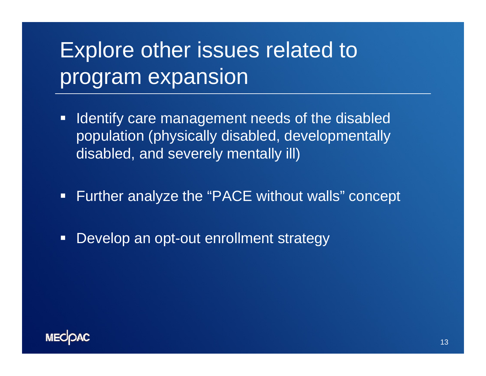## Explore other issues related to program expansion

- **If Identify care management needs of the disabled** population (physically disabled, developmentally disabled, and severely mentally ill)
- $\Box$ Further analyze the "PACE without walls" concept
- $\Box$ Develop an opt-out enrollment strategy

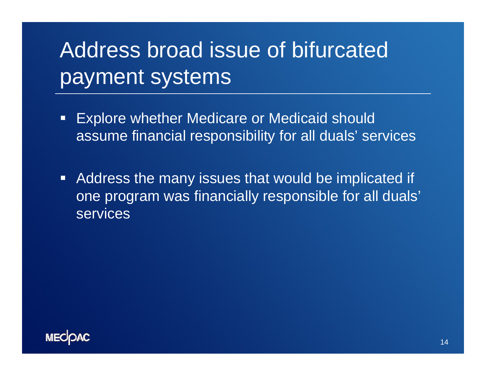# Address broad issue of bifurcated payment systems

- $\blacksquare$  Explore whether Medicare or Medicaid should assume financial responsibility for all duals' services
- **Address the many issues that would be implicated if** one program was financially responsible for all duals' services